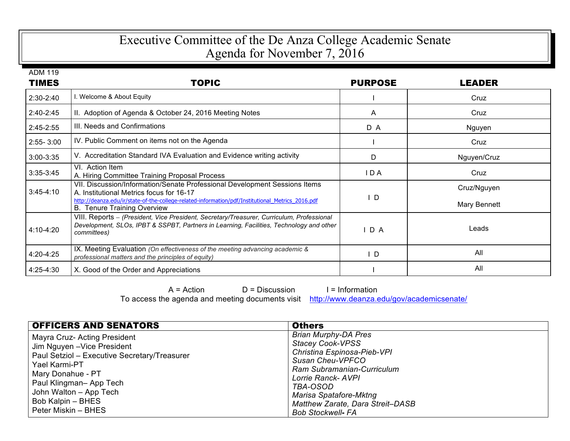## Executive Committee of the De Anza College Academic Senate Agenda for November 7, 2016

ADM 119

| TIMES         | TOPIC                                                                                                                                                                                                                                                            | <b>PURPOSE</b> | LEADER                      |
|---------------|------------------------------------------------------------------------------------------------------------------------------------------------------------------------------------------------------------------------------------------------------------------|----------------|-----------------------------|
| 2:30-2:40     | I. Welcome & About Equity                                                                                                                                                                                                                                        |                | Cruz                        |
| 2:40-2:45     | II. Adoption of Agenda & October 24, 2016 Meeting Notes                                                                                                                                                                                                          | A              | Cruz                        |
| 2:45-2:55     | III. Needs and Confirmations                                                                                                                                                                                                                                     | D A            | Nguyen                      |
| $2:55 - 3:00$ | IV. Public Comment on items not on the Agenda                                                                                                                                                                                                                    |                | Cruz                        |
| $3:00 - 3:35$ | V. Accreditation Standard IVA Evaluation and Evidence writing activity                                                                                                                                                                                           | D              | Nguyen/Cruz                 |
| $3:35-3:45$   | VI. Action Item<br>A. Hiring Committee Training Proposal Process                                                                                                                                                                                                 | I D A          | Cruz                        |
| $3:45-4:10$   | VII. Discussion/Information/Senate Professional Development Sessions Items<br>A. Institutional Metrics focus for 16-17<br>http://deanza.edu/ir/state-of-the-college-related-information/pdf/Institutional Metrics 2016.pdf<br><b>B.</b> Tenure Training Overview | I D            | Cruz/Nguyen<br>Mary Bennett |
| 4:10-4:20     | VIII. Reports - (President, Vice President, Secretary/Treasurer, Curriculum, Professional<br>Development, SLOs, IPBT & SSPBT, Partners in Learning, Facilities, Technology and other<br>committees)                                                              | D A            | Leads                       |
| 4:20-4:25     | IX. Meeting Evaluation (On effectiveness of the meeting advancing academic &<br>professional matters and the principles of equity)                                                                                                                               | ∣D             | All                         |
| 4:25-4:30     | X. Good of the Order and Appreciations                                                                                                                                                                                                                           |                | All                         |

 $A = Action$   $D = Discussion$  I = Information To access the agenda and meeting documents visit http://www.deanza.edu/gov/academicsenate/

| <b>OFFICERS AND SENATORS</b>                                                                                                                                                                                                                      | <b>Others</b>                                                                                                                                                                                                                                                              |
|---------------------------------------------------------------------------------------------------------------------------------------------------------------------------------------------------------------------------------------------------|----------------------------------------------------------------------------------------------------------------------------------------------------------------------------------------------------------------------------------------------------------------------------|
| Mayra Cruz- Acting President<br>Jim Nguyen - Vice President<br>Paul Setziol - Executive Secretary/Treasurer<br>Yael Karmi-PT<br>Mary Donahue - PT<br>Paul Klingman-App Tech<br>John Walton - App Tech<br>Bob Kalpin - BHES<br>Peter Miskin - BHES | <b>Brian Murphy-DA Pres</b><br><b>Stacey Cook-VPSS</b><br>Christina Espinosa-Pieb-VPI<br>Susan Cheu-VPFCO<br>Ram Subramanian-Curriculum<br>Lorrie Ranck- AVPI<br>TBA-OSOD<br>Marisa Spatafore-Mktng<br><b>Matthew Zarate, Dara Streit-DASB</b><br><b>Bob Stockwell- FA</b> |